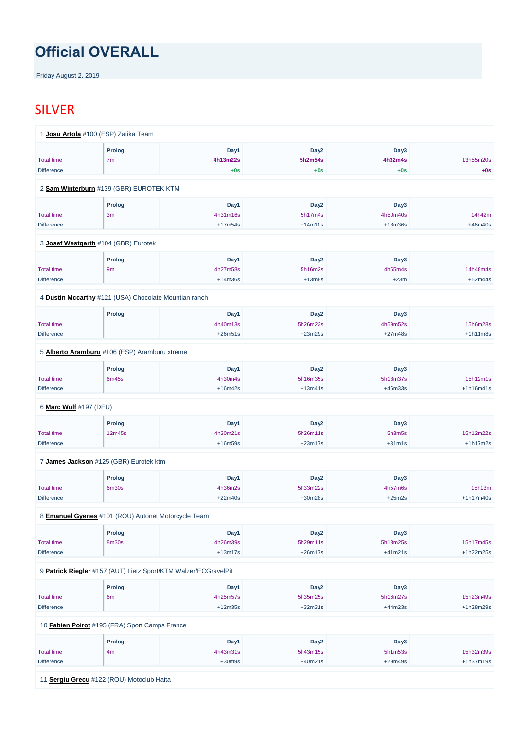# **Official OVERALL**

Friday August 2. 2019

## SILVER

|                        | 1 Josu Artola #100 (ESP) Zatika Team                  |           |                  |           |             |
|------------------------|-------------------------------------------------------|-----------|------------------|-----------|-------------|
|                        | <b>Prolog</b>                                         | Day1      | Day <sub>2</sub> | Day3      |             |
| <b>Total time</b>      | 7 <sub>m</sub>                                        | 4h13m22s  | 5h2m54s          | 4h32m4s   | 13h55m20s   |
| <b>Difference</b>      |                                                       | $+0s$     | $+0s$            | $+0s$     | $+0s$       |
|                        |                                                       |           |                  |           |             |
|                        | 2 Sam Winterburn #139 (GBR) EUROTEK KTM               |           |                  |           |             |
|                        | <b>Prolog</b>                                         | Day1      | Day <sub>2</sub> | Day3      |             |
| <b>Total time</b>      | 3m                                                    | 4h31m16s  | 5h17m4s          | 4h50m40s  | 14h42m      |
| <b>Difference</b>      |                                                       | $+17m54s$ | $+14m10s$        | $+18m36s$ | $+46m40s$   |
|                        | 3 Josef Westgarth #104 (GBR) Eurotek                  |           |                  |           |             |
|                        | Prolog                                                | Day1      | Day <sub>2</sub> | Day3      |             |
| <b>Total time</b>      | 9m                                                    | 4h27m58s  | 5h16m2s          | 4h55m4s   | 14h48m4s    |
| <b>Difference</b>      |                                                       | $+14m36s$ | $+13m8s$         | $+23m$    | $+52m44s$   |
|                        | 4 Dustin Mccarthy #121 (USA) Chocolate Mountian ranch |           |                  |           |             |
|                        | <b>Prolog</b>                                         | Day1      | Day <sub>2</sub> | Day3      |             |
| <b>Total time</b>      |                                                       | 4h40m13s  | 5h26m23s         | 4h59m52s  | 15h6m28s    |
| <b>Difference</b>      |                                                       | $+26m51s$ | $+23m29s$        | $+27m48s$ | $+1h11m8s$  |
|                        | 5 Alberto Aramburu #106 (ESP) Aramburu xtreme         |           |                  |           |             |
|                        | <b>Prolog</b>                                         | Day1      | Day <sub>2</sub> | Day3      |             |
| <b>Total time</b>      | 6m45s                                                 | 4h30m4s   | 5h16m35s         | 5h18m37s  | 15h12m1s    |
| <b>Difference</b>      |                                                       | $+16m42s$ | $+13m41s$        | $+46m33s$ | $+1h16m41s$ |
| 6 Marc Wulf #197 (DEU) |                                                       |           |                  |           |             |
|                        | <b>Prolog</b>                                         | Day1      | Day <sub>2</sub> | Day3      |             |
| <b>Total time</b>      | 12m45s                                                | 4h30m21s  | 5h26m11s         | 5h3m5s    | 15h12m22s   |
| <b>Difference</b>      |                                                       | $+16m59s$ | $+23m17s$        | $+31m1s$  | $+1h17m2s$  |
|                        | 7 James Jackson #125 (GBR) Eurotek ktm                |           |                  |           |             |
|                        | <b>Prolog</b>                                         | Day1      | Day <sub>2</sub> | Day3      |             |
| <b>Total time</b>      | 6m30s                                                 | 4h36m2s   | 5h33m22s         | 4h57m6s   | 15h13m      |
| <b>Difference</b>      |                                                       | $+22m40s$ | $+30m28s$        | $+25m2s$  | $+1h17m40s$ |
|                        | 8 Emanuel Gyenes #101 (ROU) Autonet Motorcycle Team   |           |                  |           |             |
|                        | <b>Prolog</b>                                         | Day1      | Day <sub>2</sub> | Day3      |             |

Total time

8m30s

4h26m39s

5h29m11s

5h13m25s

15h17m45s

| <b>Difference</b> |                                                                 | $+13m17s$ | $+26m17s$        | $+41m21s$ | $+1h22m25s$ |
|-------------------|-----------------------------------------------------------------|-----------|------------------|-----------|-------------|
|                   | 9 Patrick Riegler #157 (AUT) Lietz Sport/KTM Walzer/ECGravelPit |           |                  |           |             |
|                   | <b>Prolog</b>                                                   | Day1      | Day <sub>2</sub> | Day3      |             |
| <b>Total time</b> | 6 <sub>m</sub>                                                  | 4h25m57s  | 5h35m25s         | 5h16m27s  | 15h23m49s   |
| <b>Difference</b> |                                                                 | $+12m35s$ | $+32m31s$        | $+44m23s$ | +1h28m29s   |
|                   | 10 Fabien Poirot #195 (FRA) Sport Camps France                  |           |                  |           |             |
|                   | <b>Prolog</b>                                                   | Day1      | Day <sub>2</sub> | Day3      |             |
| <b>Total time</b> | 4m                                                              | 4h43m31s  | 5h43m15s         | 5h1m53s   | 15h32m39s   |
| <b>Difference</b> |                                                                 | $+30m9s$  | $+40m21s$        | $+29m49s$ | $+1h37m19s$ |
| 11                | Sergiu Grecu #122 (ROU) Motoclub Haita                          |           |                  |           |             |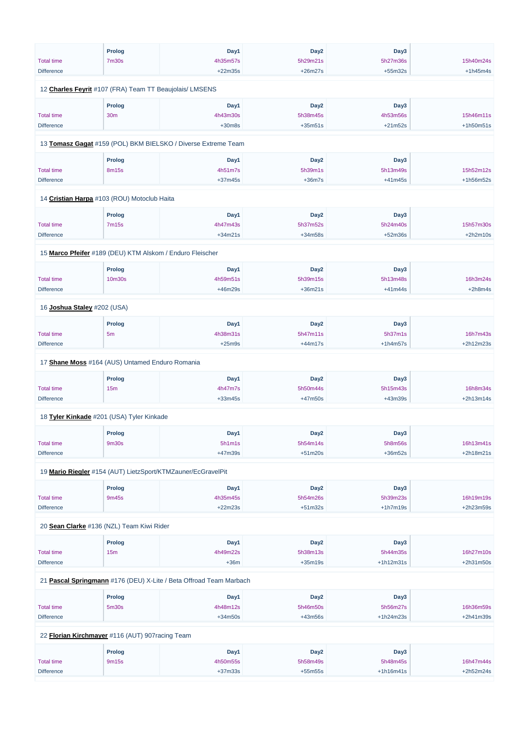|                                                           | <b>Prolog</b>   | Day1                                                          | Day <sub>2</sub> | Day3       |             |
|-----------------------------------------------------------|-----------------|---------------------------------------------------------------|------------------|------------|-------------|
| <b>Total time</b>                                         | <b>7m30s</b>    | 4h35m57s                                                      | 5h29m21s         | 5h27m36s   | 15h40m24s   |
| <b>Difference</b>                                         |                 | $+22m35s$                                                     | $+26m27s$        | $+55m32s$  | $+1h45m4s$  |
| 12 Charles Feyrit #107 (FRA) Team TT Beaujolais/ LMSENS   |                 |                                                               |                  |            |             |
|                                                           | <b>Prolog</b>   | Day1                                                          | Day <sub>2</sub> | Day3       |             |
| <b>Total time</b>                                         | 30 <sub>m</sub> | 4h43m30s                                                      | 5h38m45s         | 4h53m56s   | 15h46m11s   |
| <b>Difference</b>                                         |                 | $+30m8s$                                                      | $+35m51s$        | $+21m52s$  | $+1h50m51s$ |
|                                                           |                 |                                                               |                  |            |             |
|                                                           |                 | 13 Tomasz Gagat #159 (POL) BKM BIELSKO / Diverse Extreme Team |                  |            |             |
|                                                           | <b>Prolog</b>   | Day1                                                          | Day <sub>2</sub> | Day3       |             |
| <b>Total time</b>                                         | 8m15s           | 4h51m7s                                                       | 5h39m1s          | 5h13m49s   | 15h52m12s   |
| <b>Difference</b>                                         |                 | $+37m45s$                                                     | $+36m7s$         | $+41m45s$  | +1h56m52s   |
| 14 Cristian Harpa #103 (ROU) Motoclub Haita               |                 |                                                               |                  |            |             |
|                                                           | <b>Prolog</b>   | Day1                                                          | Day <sub>2</sub> | Day3       |             |
| <b>Total time</b>                                         | <b>7m15s</b>    | 4h47m43s                                                      | 5h37m52s         | 5h24m40s   | 15h57m30s   |
| <b>Difference</b>                                         |                 | $+34m21s$                                                     | $+34m58s$        | $+52m36s$  | $+2h2m10s$  |
|                                                           |                 |                                                               |                  |            |             |
| 15 Marco Pfeifer #189 (DEU) KTM Alskom / Enduro Fleischer |                 |                                                               |                  |            |             |
|                                                           | <b>Prolog</b>   | Day1                                                          | Day <sub>2</sub> | Day3       |             |
| <b>Total time</b>                                         | 10m30s          | 4h59m51s                                                      | 5h39m15s         | 5h13m48s   | 16h3m24s    |
| <b>Difference</b>                                         |                 | +46m29s                                                       | $+36m21s$        | $+41m44s$  | $+2h8m4s$   |
| 16 Joshua Staley #202 (USA)                               |                 |                                                               |                  |            |             |
|                                                           | <b>Prolog</b>   | Day1                                                          | Day <sub>2</sub> | Day3       |             |
| <b>Total time</b>                                         | 5 <sub>m</sub>  | 4h38m31s                                                      | 5h47m11s         | 5h37m1s    | 16h7m43s    |
| <b>Difference</b>                                         |                 | $+25m9s$                                                      | $+44m17s$        | $+1h4m57s$ | +2h12m23s   |
| 17 Shane Moss #164 (AUS) Untamed Enduro Romania           |                 |                                                               |                  |            |             |
|                                                           | <b>Prolog</b>   | Day1                                                          | Day <sub>2</sub> | Day3       |             |
| <b>Total time</b>                                         | 15 <sub>m</sub> | 4h47m7s                                                       | 5h50m44s         | 5h15m43s   | 16h8m34s    |
| <b>Difference</b>                                         |                 | $+33m45s$                                                     | $+47m50s$        | +43m39s    | $+2h13m14s$ |
| 18 Tyler Kinkade #201 (USA) Tyler Kinkade                 |                 |                                                               |                  |            |             |
|                                                           |                 |                                                               |                  |            |             |
|                                                           | <b>Prolog</b>   | Day1                                                          | Day <sub>2</sub> | Day3       |             |
| <b>Total time</b>                                         | 9m30s           | 5h1m1s                                                        | 5h54m14s         | 5h8m56s    | 16h13m41s   |
| <b>Difference</b>                                         |                 | +47m39s                                                       | $+51m20s$        | $+36m52s$  | +2h18m21s   |
|                                                           |                 | 19 Mario Riegler #154 (AUT) LietzSport/KTMZauner/EcGravelPit  |                  |            |             |
|                                                           | <b>Prolog</b>   | Day1                                                          | Day <sub>2</sub> | Day3       |             |
| <b>Total time</b>                                         | 9m45s           | 4h35m45s                                                      | 5h54m26s         | 5h39m23s   | 16h19m19s   |
| <b>Difference</b>                                         |                 | $+22m23s$                                                     | $+51m32s$        | $+1h7m19s$ | +2h23m59s   |
| 20 Sean Clarke #136 (NZL) Team Kiwi Rider                 |                 |                                                               |                  |            |             |
|                                                           |                 |                                                               |                  |            |             |
|                                                           | <b>Prolog</b>   | Day1                                                          | Day <sub>2</sub> | Day3       |             |

| <b>Total time</b> | 15m                                              | 4h49m22s                                                           | 5h38m13s         | 5h44m35s    | 16h27m10s   |
|-------------------|--------------------------------------------------|--------------------------------------------------------------------|------------------|-------------|-------------|
| <b>Difference</b> |                                                  | $+36m$                                                             | $+35m19s$        | $+1h12m31s$ | $+2h31m50s$ |
|                   |                                                  |                                                                    |                  |             |             |
|                   |                                                  | 21 Pascal Springmann #176 (DEU) X-Lite / Beta Offroad Team Marbach |                  |             |             |
|                   |                                                  |                                                                    |                  |             |             |
|                   | <b>Prolog</b>                                    | Day1                                                               | Day <sub>2</sub> | Day3        |             |
| <b>Total time</b> | 5 <sub>m30s</sub>                                | 4h48m12s                                                           | 5h46m50s         | 5h56m27s    | 16h36m59s   |
| <b>Difference</b> |                                                  | $+34m50s$                                                          | $+43m56s$        | $+1h24m23s$ | $+2h41m39s$ |
|                   |                                                  |                                                                    |                  |             |             |
|                   | 22 Florian Kirchmayer #116 (AUT) 907 racing Team |                                                                    |                  |             |             |
|                   |                                                  |                                                                    |                  |             |             |
|                   | Prolog                                           | Day1                                                               | Day <sub>2</sub> | Day3        |             |
| <b>Total time</b> | 9m15s                                            | 4h50m55s                                                           | 5h58m49s         | 5h48m45s    | 16h47m44s   |
| <b>Difference</b> |                                                  | $+37m33s$                                                          | $+55m55s$        | $+1h16m41s$ | $+2h52m24s$ |
|                   |                                                  |                                                                    |                  |             |             |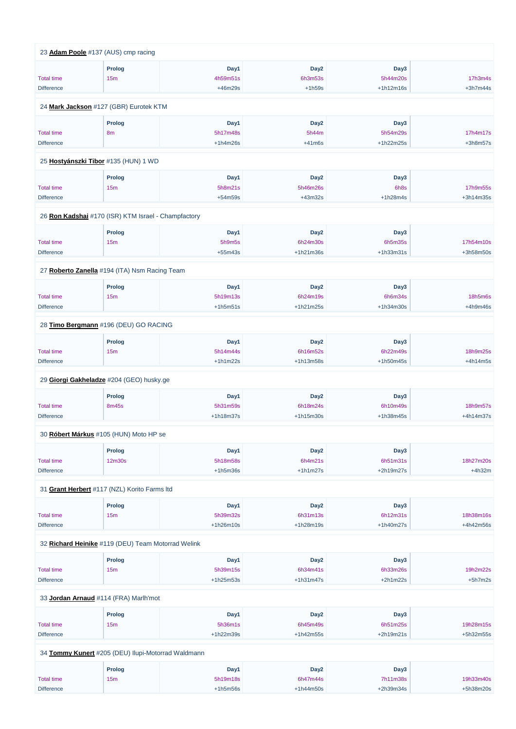|                   | 23 Adam Poole #137 (AUS) cmp racing                 |             |                  |             |            |
|-------------------|-----------------------------------------------------|-------------|------------------|-------------|------------|
|                   | <b>Prolog</b>                                       | Day1        | Day <sub>2</sub> | Day3        |            |
| <b>Total time</b> | 15m                                                 | 4h59m51s    | 6h3m53s          | 5h44m20s    | 17h3m4s    |
| <b>Difference</b> |                                                     | +46m29s     | $+1h59s$         | $+1h12m16s$ | $+3h7m44s$ |
|                   | 24 Mark Jackson #127 (GBR) Eurotek KTM              |             |                  |             |            |
|                   |                                                     |             |                  |             |            |
|                   | <b>Prolog</b>                                       | Day1        | Day <sub>2</sub> | Day3        |            |
| <b>Total time</b> | 8 <sub>m</sub>                                      | 5h17m48s    | 5h44m            | 5h54m29s    | 17h4m17s   |
| <b>Difference</b> |                                                     | $+1h4m26s$  | $+41m6s$         | +1h22m25s   | $+3h8m57s$ |
|                   | 25 Hostyánszki Tibor #135 (HUN) 1 WD                |             |                  |             |            |
|                   | <b>Prolog</b>                                       | Day1        | Day <sub>2</sub> | Day3        |            |
| <b>Total time</b> | 15m                                                 | 5h8m21s     | 5h46m26s         | 6h8s        | 17h9m55s   |
| <b>Difference</b> |                                                     | $+54m59s$   | $+43m32s$        | $+1h28m4s$  | +3h14m35s  |
|                   | 26 Ron Kadshai #170 (ISR) KTM Israel - Champfactory |             |                  |             |            |
|                   |                                                     |             |                  |             |            |
|                   | <b>Prolog</b>                                       | Day1        | Day <sub>2</sub> | Day3        |            |
| <b>Total time</b> | 15m                                                 | 5h9m5s      | 6h24m30s         | 6h5m35s     | 17h54m10s  |
| <b>Difference</b> |                                                     | $+55m43s$   | $+1h21m36s$      | +1h33m31s   | +3h58m50s  |
|                   | 27 Roberto Zanella #194 (ITA) Nsm Racing Team       |             |                  |             |            |
|                   | <b>Prolog</b>                                       | Day1        | Day <sub>2</sub> | Day3        |            |
| <b>Total time</b> | 15m                                                 | 5h19m13s    | 6h24m19s         | 6h6m34s     | 18h5m6s    |
| <b>Difference</b> |                                                     | $+1h5m51s$  | $+1h21m25s$      | +1h34m30s   | $+4h9m46s$ |
|                   | 28 Timo Bergmann #196 (DEU) GO RACING               |             |                  |             |            |
|                   |                                                     |             |                  |             |            |
|                   | <b>Prolog</b>                                       | Day1        | Day <sub>2</sub> | Day3        |            |
| <b>Total time</b> | 15m                                                 | 5h14m44s    | 6h16m52s         | 6h22m49s    | 18h9m25s   |
| <b>Difference</b> |                                                     | $+1h1m22s$  | +1h13m58s        | +1h50m45s   | $+4h14m5s$ |
|                   | 29 Giorgi Gakheladze #204 (GEO) husky.ge            |             |                  |             |            |
|                   | <b>Prolog</b>                                       | Day1        | Day <sub>2</sub> | Day3        |            |
| <b>Total time</b> | 8m45s                                               | 5h31m59s    | 6h18m24s         | 6h10m49s    | 18h9m57s   |
| <b>Difference</b> |                                                     | +1h18m37s   | $+1h15m30s$      | +1h38m45s   | +4h14m37s  |
|                   | 30 Róbert Márkus #105 (HUN) Moto HP se              |             |                  |             |            |
|                   | <b>Prolog</b>                                       | Day1        | Day <sub>2</sub> | Day3        |            |
| <b>Total time</b> | 12m30s                                              | 5h18m58s    | 6h4m21s          | 6h51m31s    | 18h27m20s  |
| <b>Difference</b> |                                                     | $+1h5m36s$  | $+1h1m27s$       | +2h19m27s   | $+4h32m$   |
|                   |                                                     |             |                  |             |            |
|                   | 31 Grant Herbert #117 (NZL) Korito Farms Itd        |             |                  |             |            |
|                   | <b>Prolog</b>                                       | Day1        | Day <sub>2</sub> | Day3        |            |
| <b>Total time</b> | 15m                                                 | 5h39m32s    | 6h31m13s         | 6h12m31s    | 18h38m16s  |
| <b>Difference</b> |                                                     | $+1h26m10s$ | $+1h28m19s$      | +1h40m27s   | +4h42m56s  |
|                   |                                                     |             |                  |             |            |

32 **[Richard Heinike](https://www.redbullromaniacs.com/for-competitors/profile/?e=rbr2019&b=119)** #119 (DEU) Team Motorrad Welink

|                                                    | Prolog | Day1        | Day <sub>2</sub> | Day3        |             |  |  |  |  |
|----------------------------------------------------|--------|-------------|------------------|-------------|-------------|--|--|--|--|
| <b>Total time</b>                                  | 15m    | 5h39m15s    | 6h34m41s         | 6h33m26s    | 19h2m22s    |  |  |  |  |
| <b>Difference</b>                                  |        | $+1h25m53s$ | $+1h31m47s$      | $+2h1m22s$  | $+5h7m2s$   |  |  |  |  |
| 33 Jordan Arnaud #114 (FRA) Marlh'mot              |        |             |                  |             |             |  |  |  |  |
|                                                    | Prolog | Day1        | Day <sub>2</sub> | Day3        |             |  |  |  |  |
| <b>Total time</b>                                  | 15m    | 5h36m1s     | 6h45m49s         | 6h51m25s    | 19h28m15s   |  |  |  |  |
| <b>Difference</b>                                  |        | $+1h22m39s$ | $+1h42m55s$      | $+2h19m21s$ | $+5h32m55s$ |  |  |  |  |
| 34 Tommy Kunert #205 (DEU) Ilupi-Motorrad Waldmann |        |             |                  |             |             |  |  |  |  |
|                                                    | Prolog | Day1        | Day <sub>2</sub> | Day3        |             |  |  |  |  |
| <b>Total time</b>                                  | 15m    | 5h19m18s    | 6h47m44s         | 7h11m38s    | 19h33m40s   |  |  |  |  |
| <b>Difference</b>                                  |        | $+1h5m56s$  | $+1h44m50s$      | $+2h39m34s$ | +5h38m20s   |  |  |  |  |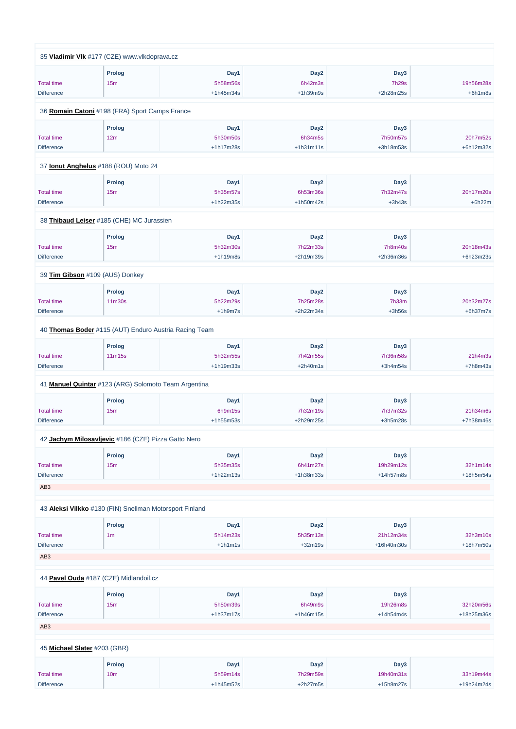|                   | 35 Vladimir VIk #177 (CZE) www.vlkdoprava.cz            |             |                  |                |            |
|-------------------|---------------------------------------------------------|-------------|------------------|----------------|------------|
|                   | <b>Prolog</b>                                           | Day1        | Day <sub>2</sub> | Day3           |            |
| <b>Total time</b> | 15m                                                     | 5h58m56s    | 6h42m3s          | <b>7h29s</b>   | 19h56m28s  |
| <b>Difference</b> |                                                         | $+1h45m34s$ | $+1h39m9s$       | +2h28m25s      | $+6h1m8s$  |
|                   |                                                         |             |                  |                |            |
|                   | 36 Romain Catoni #198 (FRA) Sport Camps France          |             |                  |                |            |
|                   | <b>Prolog</b>                                           | Day1        | Day <sub>2</sub> | Day3           |            |
| <b>Total time</b> | 12m                                                     | 5h30m50s    | 6h34m5s          | 7h50m57s       | 20h7m52s   |
| <b>Difference</b> |                                                         | $+1h17m28s$ | $+1h31m11s$      | +3h18m53s      | +6h12m32s  |
|                   |                                                         |             |                  |                |            |
|                   | 37 <b>Ionut Anghelus</b> #188 (ROU) Moto 24             |             |                  |                |            |
|                   | <b>Prolog</b>                                           | Day1        | Day <sub>2</sub> | Day3           |            |
| <b>Total time</b> | 15 <sub>m</sub>                                         | 5h35m57s    | 6h53m36s         | 7h32m47s       | 20h17m20s  |
| <b>Difference</b> |                                                         | +1h22m35s   | $+1h50m42s$      | $+3h43s$       | $+6h22m$   |
|                   | 38 Thibaud Leiser #185 (CHE) MC Jurassien               |             |                  |                |            |
|                   |                                                         |             |                  |                |            |
|                   | <b>Prolog</b>                                           | Day1        | Day <sub>2</sub> | Day3           |            |
| <b>Total time</b> | 15 <sub>m</sub>                                         | 5h32m30s    | 7h22m33s         | <b>7h8m40s</b> | 20h18m43s  |
| <b>Difference</b> |                                                         | $+1h19m8s$  | +2h19m39s        | +2h36m36s      | +6h23m23s  |
|                   | 39 Tim Gibson #109 (AUS) Donkey                         |             |                  |                |            |
|                   | <b>Prolog</b>                                           | Day1        | Day <sub>2</sub> | Day3           |            |
| <b>Total time</b> | 11m30s                                                  | 5h22m29s    | 7h25m28s         | 7h33m          | 20h32m27s  |
| <b>Difference</b> |                                                         | $+1h9m7s$   | +2h22m34s        | $+3h56s$       | $+6h37m7s$ |
|                   |                                                         |             |                  |                |            |
|                   | 40 Thomas Boder #115 (AUT) Enduro Austria Racing Team   |             |                  |                |            |
|                   | <b>Prolog</b>                                           | Day1        | Day <sub>2</sub> | Day3           |            |
| <b>Total time</b> | 11m15s                                                  | 5h32m55s    | 7h42m55s         | 7h36m58s       | 21h4m3s    |
| <b>Difference</b> |                                                         | +1h19m33s   | $+2h40m1s$       | $+3h4m54s$     | $+7h8m43s$ |
|                   | 41 Manuel Quintar #123 (ARG) Solomoto Team Argentina    |             |                  |                |            |
|                   |                                                         |             |                  |                |            |
|                   | <b>Prolog</b>                                           | Day1        | Day <sub>2</sub> | Day3           |            |
| <b>Total time</b> | 15m                                                     | 6h9m15s     | 7h32m19s         | 7h37m32s       | 21h34m6s   |
| <b>Difference</b> |                                                         | +1h55m53s   | +2h29m25s        | $+3h5m28s$     | +7h38m46s  |
|                   | 42 Jachym Milosavljevic #186 (CZE) Pizza Gatto Nero     |             |                  |                |            |
|                   |                                                         |             |                  |                |            |
|                   | <b>Prolog</b>                                           | Day1        | Day <sub>2</sub> | Day3           |            |
| <b>Total time</b> | 15m                                                     | 5h35m35s    | 6h41m27s         | 19h29m12s      | 32h1m14s   |
| <b>Difference</b> |                                                         | $+1h22m13s$ | +1h38m33s        | +14h57m8s      | +18h5m54s  |
| AB <sub>3</sub>   |                                                         |             |                  |                |            |
|                   | 43 Aleksi Vilkko #130 (FIN) Snellman Motorsport Finland |             |                  |                |            |
|                   |                                                         |             |                  |                |            |
|                   | <b>Prolog</b>                                           | Day1        | Day <sub>2</sub> | Day3           |            |
| <b>Total time</b> | 1 <sub>m</sub>                                          | 5h14m23s    | 5h35m13s         | 21h12m34s      | 32h3m10s   |

+1h1m1s

+32m19s

+16h40m30s

+18h7m50s

#### AB3

**Difference** 

### 44 **[Pavel Ouda](https://www.redbullromaniacs.com/for-competitors/profile/?e=rbr2019&b=187)** #187 (CZE) Midlandoil.cz

|                              | <b>Prolog</b>   | Day1        | Day <sub>2</sub> | Day3        |              |
|------------------------------|-----------------|-------------|------------------|-------------|--------------|
| <b>Total time</b>            | 15m             | 5h50m39s    | 6h49m9s          | 19h26m8s    | 32h20m56s    |
| <b>Difference</b>            |                 | $+1h37m17s$ | $+1h46m15s$      | $+14h54m4s$ | +18h25m36s   |
| AB <sub>3</sub>              |                 |             |                  |             |              |
|                              |                 |             |                  |             |              |
| 45 Michael Slater #203 (GBR) |                 |             |                  |             |              |
|                              | <b>Prolog</b>   | Day1        | Day <sub>2</sub> | Day3        |              |
| <b>Total time</b>            | 10 <sub>m</sub> | 5h59m14s    | 7h29m59s         | 19h40m31s   | 33h19m44s    |
| <b>Difference</b>            |                 | $+1h45m52s$ | $+2h27m5s$       | $+15h8m27s$ | $+19h24m24s$ |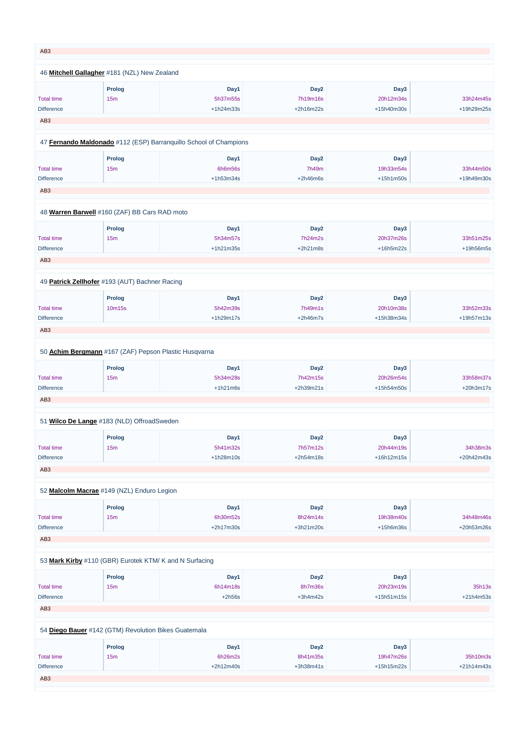| AB <sub>3</sub>                                       |                      |                                                                   |                                           |                                 |                         |
|-------------------------------------------------------|----------------------|-------------------------------------------------------------------|-------------------------------------------|---------------------------------|-------------------------|
| 46 Mitchell Gallagher #181 (NZL) New Zealand          |                      |                                                                   |                                           |                                 |                         |
| <b>Total time</b><br><b>Difference</b>                | <b>Prolog</b><br>15m | Day1<br>5h37m55s<br>$+1h24m33s$                                   | Day <sub>2</sub><br>7h19m16s<br>+2h16m22s | Day3<br>20h12m34s<br>+15h40m30s | 33h24m45s<br>+19h29m25s |
| AB <sub>3</sub>                                       |                      |                                                                   |                                           |                                 |                         |
|                                                       |                      | 47 Fernando Maldonado #112 (ESP) Barranquillo School of Champions |                                           |                                 |                         |
|                                                       |                      |                                                                   |                                           |                                 |                         |
| <b>Total time</b>                                     | <b>Prolog</b><br>15m | Day1<br>6h6m56s                                                   | Day <sub>2</sub><br>7h49m                 | Day3<br>19h33m54s               | 33h44m50s               |
| <b>Difference</b>                                     |                      | $+1h53m34s$                                                       | $+2h46m6s$                                | $+15h1m50s$                     | +19h49m30s              |
| AB <sub>3</sub>                                       |                      |                                                                   |                                           |                                 |                         |
|                                                       |                      |                                                                   |                                           |                                 |                         |
| 48 Warren Barwell #160 (ZAF) BB Cars RAD moto         |                      |                                                                   |                                           |                                 |                         |
|                                                       | <b>Prolog</b>        | Day1                                                              | Day <sub>2</sub>                          | Day3                            |                         |
| <b>Total time</b>                                     | 15m                  | 5h34m57s                                                          | 7h24m2s                                   | 20h37m26s                       | 33h51m25s               |
| <b>Difference</b>                                     |                      | $+1h21m35s$                                                       | $+2h21m8s$                                | +16h5m22s                       | +19h56m5s               |
| AB <sub>3</sub>                                       |                      |                                                                   |                                           |                                 |                         |
| 49 Patrick Zellhofer #193 (AUT) Bachner Racing        |                      |                                                                   |                                           |                                 |                         |
|                                                       | <b>Prolog</b>        | Day1                                                              | Day <sub>2</sub>                          | Day3                            |                         |
| <b>Total time</b>                                     | 10m15s               | 5h42m39s                                                          | 7h49m1s                                   | 20h10m38s                       | 33h52m33s               |
| <b>Difference</b>                                     |                      | $+1h29m17s$                                                       | $+2h46m7s$                                | +15h38m34s                      | +19h57m13s              |
| AB <sub>3</sub>                                       |                      |                                                                   |                                           |                                 |                         |
|                                                       |                      |                                                                   |                                           |                                 |                         |
| 50 Achim Bergmann #167 (ZAF) Pepson Plastic Husqvarna |                      |                                                                   |                                           |                                 |                         |
|                                                       | <b>Prolog</b>        | Day1                                                              | Day <sub>2</sub>                          | Day3                            |                         |
| <b>Total time</b>                                     | 15m                  | 5h34m28s                                                          | 7h42m15s                                  | 20h26m54s                       | 33h58m37s               |
| <b>Difference</b>                                     |                      | $+1h21m6s$                                                        | +2h39m21s                                 | +15h54m50s                      | +20h3m17s               |
| AB <sub>3</sub>                                       |                      |                                                                   |                                           |                                 |                         |
| 51 Wilco De Lange #183 (NLD) OffroadSweden            |                      |                                                                   |                                           |                                 |                         |
|                                                       | <b>Prolog</b>        | Day1                                                              | Day <sub>2</sub>                          | Day3                            |                         |
| <b>Total time</b>                                     | 15m                  | 5h41m32s                                                          | 7h57m12s                                  | 20h44m19s                       | 34h38m3s                |
| <b>Difference</b>                                     |                      | $+1h28m10s$                                                       | $+2h54m18s$                               | +16h12m15s                      | +20h42m43s              |
| AB <sub>3</sub>                                       |                      |                                                                   |                                           |                                 |                         |
|                                                       |                      |                                                                   |                                           |                                 |                         |
| 52 Malcolm Macrae #149 (NZL) Enduro Legion            |                      |                                                                   |                                           |                                 |                         |
|                                                       | <b>Prolog</b>        | Day1                                                              | Day <sub>2</sub>                          | Day3                            |                         |
| <b>Total time</b>                                     | 15m                  | 6h30m52s                                                          | 8h24m14s                                  | 19h38m40s                       | 34h48m46s               |
| <b>Difference</b>                                     |                      | $+2h17m30s$                                                       | +3h21m20s                                 | +15h6m36s                       | +20h53m26s              |
| AB <sub>3</sub>                                       |                      |                                                                   |                                           |                                 |                         |

## 53 **[Mark Kirby](https://www.redbullromaniacs.com/for-competitors/profile/?e=rbr2019&b=110)** #110 (GBR) Eurotek KTM/ K and N Surfacing

|                                                      | Prolog          | Day1        | Day <sub>2</sub> | Day3         |              |
|------------------------------------------------------|-----------------|-------------|------------------|--------------|--------------|
| <b>Total time</b>                                    | 15 <sub>m</sub> | 6h14m18s    | 8h7m36s          | 20h23m19s    | 35h13s       |
| <b>Difference</b>                                    |                 | $+2h56s$    | $+3h4m42s$       | $+15h51m15s$ | $+21h4m53s$  |
| AB <sub>3</sub>                                      |                 |             |                  |              |              |
|                                                      |                 |             |                  |              |              |
| 54 Diego Bauer #142 (GTM) Revolution Bikes Guatemala |                 |             |                  |              |              |
|                                                      | Prolog          | Day1        | Day <sub>2</sub> | Day3         |              |
| <b>Total time</b>                                    | 15 <sub>m</sub> | 6h26m2s     | 8h41m35s         | 19h47m26s    | 35h10m3s     |
| <b>Difference</b>                                    |                 | $+2h12m40s$ | $+3h38m41s$      | $+15h15m22s$ | $+21h14m43s$ |
| AB <sub>3</sub>                                      |                 |             |                  |              |              |
|                                                      |                 |             |                  |              |              |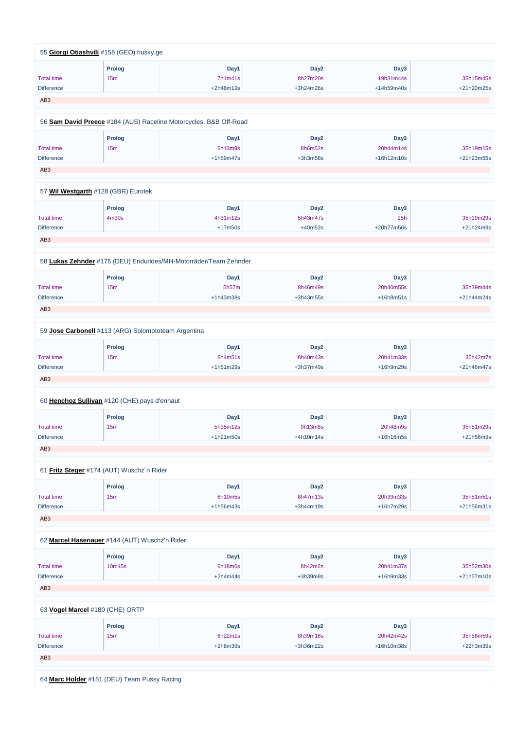|                   | 55 Giorgi Otiashvili #158 (GEO) husky.ge                          |                 |                              |                   |            |
|-------------------|-------------------------------------------------------------------|-----------------|------------------------------|-------------------|------------|
| <b>Total time</b> | <b>Prolog</b><br>15m                                              | Day1<br>7h1m41s | Day <sub>2</sub><br>8h27m20s | Day3<br>19h31m44s | 35h15m45s  |
| <b>Difference</b> |                                                                   | +2h48m19s       | +3h24m26s                    | +14h59m40s        | +21h20m25s |
| AB <sub>3</sub>   |                                                                   |                 |                              |                   |            |
|                   | 56 Sam David Preece #184 (AUS) Raceline Motorcycles. B&B Off-Road |                 |                              |                   |            |
|                   | <b>Prolog</b>                                                     | Day1            | Day <sub>2</sub>             | Day3              |            |
| <b>Total time</b> | 15m                                                               | 6h13m9s         | 8h6m52s                      | 20h44m14s         | 35h19m15s  |
| <b>Difference</b> |                                                                   | $+1h59m47s$     | $+3h3m58s$                   | +16h12m10s        | +21h23m55s |
| AB <sub>3</sub>   |                                                                   |                 |                              |                   |            |
|                   |                                                                   |                 |                              |                   |            |
|                   | 57 Wil Westgarth #128 (GBR) Eurotek                               |                 |                              |                   |            |
|                   | <b>Prolog</b>                                                     | Day1            | Day <sub>2</sub>             | Day3              |            |
| <b>Total time</b> | 4m30s                                                             | 4h31m12s        | 5h43m47s                     | 25h               | 35h19m29s  |
| <b>Difference</b> |                                                                   | $+17m50s$       | $+40m53s$                    | +20h27m56s        | +21h24m9s  |
| AB <sub>3</sub>   |                                                                   |                 |                              |                   |            |
|                   | 58 Lukas Zehnder #175 (DEU) Endurides/MH-Motorräder/Team Zehnder  |                 |                              |                   |            |
|                   | <b>Prolog</b>                                                     | Day1            | Day <sub>2</sub>             | Day3              |            |
| <b>Total time</b> | 15m                                                               | 5h57m           | 8h46m49s                     | 20h40m55s         | 35h39m44s  |
| <b>Difference</b> |                                                                   | +1h43m38s       | +3h43m55s                    | $+16h8m51s$       | +21h44m24s |
| AB <sub>3</sub>   |                                                                   |                 |                              |                   |            |
|                   | 59 Jose Carbonell #113 (ARG) Solomototeam Argentina               |                 |                              |                   |            |
|                   |                                                                   |                 |                              |                   |            |
|                   | Prolog                                                            | Day1            | Day <sub>2</sub>             | Day3              |            |
| <b>Total time</b> | 15m                                                               | 6h4m51s         | 8h40m43s                     | 20h41m33s         | 35h42m7s   |
| <b>Difference</b> |                                                                   | $+1h51m29s$     | +3h37m49s                    | +16h9m29s         | +21h46m47s |
| AB <sub>3</sub>   |                                                                   |                 |                              |                   |            |
|                   | 60 Henchoz Sullivan #120 (CHE) pays d'enhaut                      |                 |                              |                   |            |
|                   | <b>Prolog</b>                                                     | Day1            | Day <sub>2</sub>             | Day3              |            |
| <b>Total time</b> | 15m                                                               | 5h35m12s        | 9h13m8s                      | 20h48m9s          | 35h51m29s  |
| <b>Difference</b> |                                                                   | $+1h21m50s$     | +4h10m14s                    | +16h16m5s         | +21h56m9s  |
| AB <sub>3</sub>   |                                                                   |                 |                              |                   |            |
|                   | 61 Fritz Steger #174 (AUT) Wuschz'n Rider                         |                 |                              |                   |            |
|                   | <b>Prolog</b>                                                     | Day1            | Day <sub>2</sub>             | Day3              |            |
| <b>Total time</b> | 15m                                                               | 6h10m5s         | 8h47m13s                     | 20h39m33s         | 35h51m51s  |
| <b>Difference</b> |                                                                   | +1h56m43s       | +3h44m19s                    | +16h7m29s         | +21h56m31s |
| AB <sub>3</sub>   |                                                                   |                 |                              |                   |            |
|                   |                                                                   |                 |                              |                   |            |

|                                             | <b>Prolog</b>   | Day1       | Day <sub>2</sub> | Day3        |              |  |  |  |
|---------------------------------------------|-----------------|------------|------------------|-------------|--------------|--|--|--|
| <b>Total time</b>                           | 10m45s          | 6h18m6s    | 8h42m2s          | 20h41m37s   | 35h52m30s    |  |  |  |
| <b>Difference</b>                           |                 | $+2h4m44s$ | $+3h39m8s$       | $+16h9m33s$ | $+21h57m10s$ |  |  |  |
| AB <sub>3</sub>                             |                 |            |                  |             |              |  |  |  |
|                                             |                 |            |                  |             |              |  |  |  |
| 63 Vogel Marcel #180 (CHE) ORTP             |                 |            |                  |             |              |  |  |  |
|                                             | <b>Prolog</b>   | Day1       | Day <sub>2</sub> | Day3        |              |  |  |  |
| <b>Total time</b>                           | 15 <sub>m</sub> | 6h22m1s    | 8h39m16s         | 20h42m42s   | 35h58m59s    |  |  |  |
| <b>Difference</b>                           |                 | $+2h8m39s$ | +3h36m22s        | +16h10m38s  | $+22h3m39s$  |  |  |  |
| AB <sub>3</sub>                             |                 |            |                  |             |              |  |  |  |
|                                             |                 |            |                  |             |              |  |  |  |
| 64 Marc Holder #151 (DEU) Team Pussy Racing |                 |            |                  |             |              |  |  |  |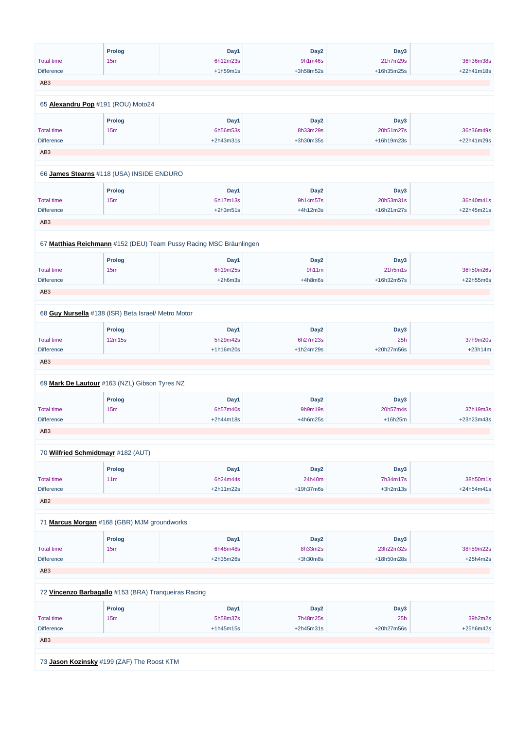|                                                     | <b>Prolog</b> | Day1                                                               | Day <sub>2</sub> | Day3       |            |
|-----------------------------------------------------|---------------|--------------------------------------------------------------------|------------------|------------|------------|
| <b>Total time</b>                                   | 15m           | 6h12m23s                                                           | 9h1m46s          | 21h7m29s   | 36h36m38s  |
| <b>Difference</b>                                   |               | $+1h59m1s$                                                         | +3h58m52s        | +16h35m25s | +22h41m18s |
| AB <sub>3</sub>                                     |               |                                                                    |                  |            |            |
|                                                     |               |                                                                    |                  |            |            |
| 65 Alexandru Pop #191 (ROU) Moto24                  |               |                                                                    |                  |            |            |
|                                                     | <b>Prolog</b> | Day1                                                               | Day <sub>2</sub> | Day3       |            |
| <b>Total time</b>                                   | 15m           | 6h56m53s                                                           | 8h33m29s         | 20h51m27s  | 36h36m49s  |
| <b>Difference</b>                                   |               | +2h43m31s                                                          | +3h30m35s        | +16h19m23s | +22h41m29s |
| AB <sub>3</sub>                                     |               |                                                                    |                  |            |            |
| 66 James Stearns #118 (USA) INSIDE ENDURO           |               |                                                                    |                  |            |            |
|                                                     | <b>Prolog</b> | Day1                                                               | Day <sub>2</sub> | Day3       |            |
| <b>Total time</b>                                   | 15m           | 6h17m13s                                                           | 9h14m57s         | 20h53m31s  | 36h40m41s  |
| <b>Difference</b>                                   |               | $+2h3m51s$                                                         | $+4h12m3s$       | +16h21m27s | +22h45m21s |
|                                                     |               |                                                                    |                  |            |            |
| AB <sub>3</sub>                                     |               |                                                                    |                  |            |            |
|                                                     |               |                                                                    |                  |            |            |
|                                                     |               | 67 Matthias Reichmann #152 (DEU) Team Pussy Racing MSC Bräunlingen |                  |            |            |
|                                                     | <b>Prolog</b> | Day1                                                               | Day <sub>2</sub> | Day3       |            |
| <b>Total time</b>                                   | 15m           | 6h19m25s                                                           | 9h11m            | 21h5m1s    | 36h50m26s  |
| <b>Difference</b>                                   |               | $+2h6m3s$                                                          | $+4h8m6s$        | +16h32m57s | +22h55m6s  |
| AB <sub>3</sub>                                     |               |                                                                    |                  |            |            |
|                                                     |               |                                                                    |                  |            |            |
| 68 Guy Nursella #138 (ISR) Beta Israel/ Metro Motor |               |                                                                    |                  |            |            |
|                                                     | <b>Prolog</b> | Day1                                                               | Day <sub>2</sub> | Day3       |            |
| <b>Total time</b>                                   | 12m15s        | 5h29m42s                                                           | 6h27m23s         | 25h        | 37h9m20s   |
| <b>Difference</b>                                   |               | +1h16m20s                                                          | +1h24m29s        | +20h27m56s | $+23h14m$  |
| AB <sub>3</sub>                                     |               |                                                                    |                  |            |            |
| 69 Mark De Lautour #163 (NZL) Gibson Tyres NZ       |               |                                                                    |                  |            |            |
|                                                     |               |                                                                    |                  |            |            |
|                                                     | <b>Prolog</b> | Day1                                                               | Day <sub>2</sub> | Day3       |            |
| <b>Total time</b>                                   | 15m           | 6h57m40s                                                           | 9h9m19s          | 20h57m4s   | 37h19m3s   |
| <b>Difference</b>                                   |               | +2h44m18s                                                          | $+4h6m25s$       | $+16h25m$  | +23h23m43s |
| AB <sub>3</sub>                                     |               |                                                                    |                  |            |            |
| 70 Wilfried Schmidtmayr #182 (AUT)                  |               |                                                                    |                  |            |            |
|                                                     | <b>Prolog</b> | Day1                                                               | Day <sub>2</sub> | Day3       |            |
| <b>Total time</b>                                   | 11m           | 6h24m44s                                                           | 24h40m           | 7h34m17s   | 38h50m1s   |
| <b>Difference</b>                                   |               | $+2h11m22s$                                                        | +19h37m6s        | $+3h2m13s$ | +24h54m41s |
| AB <sub>2</sub>                                     |               |                                                                    |                  |            |            |
|                                                     |               |                                                                    |                  |            |            |
| 71 Marcus Morgan #168 (GBR) MJM groundworks         |               |                                                                    |                  |            |            |
|                                                     | <b>Prolog</b> | Day1                                                               | Day <sub>2</sub> | Day3       |            |

Total time

15m

6h48m48s

8h33m2s

 $23h22m32s$ 

38h59m22s

| <b>Difference</b>                                    |        | $+2h35m26s$ | $+3h30m8s$       | +18h50m28s | $+25h4m2s$  |  |
|------------------------------------------------------|--------|-------------|------------------|------------|-------------|--|
| AB <sub>3</sub>                                      |        |             |                  |            |             |  |
|                                                      |        |             |                  |            |             |  |
| 72 Vincenzo Barbagallo #153 (BRA) Tranqueiras Racing |        |             |                  |            |             |  |
|                                                      |        |             |                  |            |             |  |
|                                                      | Prolog | Day1        | Day <sub>2</sub> | Day3       |             |  |
| <b>Total time</b>                                    | 15m    | 5h58m37s    | 7h48m25s         | 25h        | 39h2m2s     |  |
| <b>Difference</b>                                    |        | $+1h45m15s$ | $+2h45m31s$      | +20h27m56s | $+25h6m42s$ |  |
| AB <sub>3</sub>                                      |        |             |                  |            |             |  |
|                                                      |        |             |                  |            |             |  |
| 73 Jason Kozinsky #199 (ZAF) The Roost KTM           |        |             |                  |            |             |  |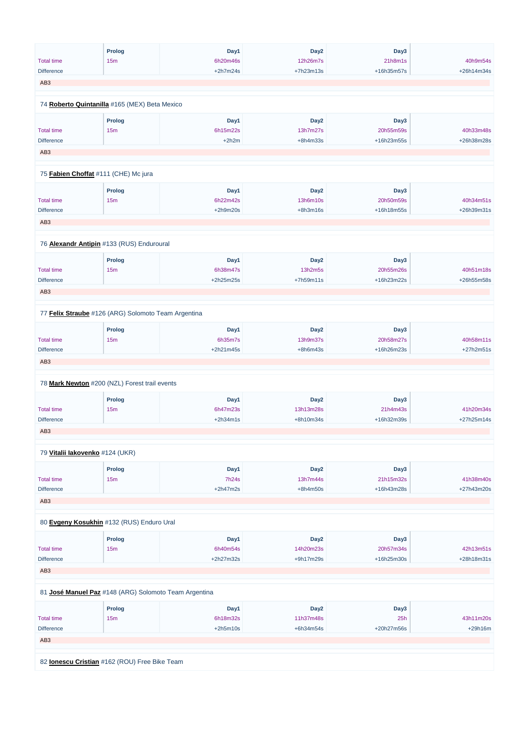|                   | <b>Prolog</b>                                       | Day1        | Day <sub>2</sub> | Day3       |            |
|-------------------|-----------------------------------------------------|-------------|------------------|------------|------------|
| <b>Total time</b> | 15m                                                 | 6h20m46s    | 12h26m7s         | 21h8m1s    | 40h9m54s   |
| <b>Difference</b> |                                                     | $+2h7m24s$  | +7h23m13s        | +16h35m57s | +26h14m34s |
| AB <sub>3</sub>   |                                                     |             |                  |            |            |
|                   |                                                     |             |                  |            |            |
|                   | 74 Roberto Quintanilla #165 (MEX) Beta Mexico       |             |                  |            |            |
|                   | Prolog                                              | Day1        | Day <sub>2</sub> | Day3       |            |
| <b>Total time</b> | 15m                                                 | 6h15m22s    | 13h7m27s         | 20h55m59s  | 40h33m48s  |
| <b>Difference</b> |                                                     | $+2h2m$     | $+8h4m33s$       | +16h23m55s | +26h38m28s |
| AB <sub>3</sub>   |                                                     |             |                  |            |            |
|                   |                                                     |             |                  |            |            |
|                   | 75 Fabien Choffat #111 (CHE) Mc jura                |             |                  |            |            |
|                   | Prolog                                              | Day1        | Day <sub>2</sub> | Day3       |            |
| <b>Total time</b> | 15 <sub>m</sub>                                     | 6h22m42s    | 13h6m10s         | 20h50m59s  | 40h34m51s  |
| <b>Difference</b> |                                                     | $+2h9m20s$  | $+8h3m16s$       | +16h18m55s | +26h39m31s |
| AB <sub>3</sub>   |                                                     |             |                  |            |            |
|                   |                                                     |             |                  |            |            |
|                   |                                                     |             |                  |            |            |
|                   | 76 <b>Alexandr Antipin</b> #133 (RUS) Enduroural    |             |                  |            |            |
|                   | Prolog                                              | Day1        | Day <sub>2</sub> | Day3       |            |
| <b>Total time</b> | 15 <sub>m</sub>                                     | 6h38m47s    | 13h2m5s          | 20h55m26s  | 40h51m18s  |
| <b>Difference</b> |                                                     | +2h25m25s   | +7h59m11s        | +16h23m22s | +26h55m58s |
|                   |                                                     |             |                  |            |            |
| AB <sub>3</sub>   |                                                     |             |                  |            |            |
|                   | 77 Felix Straube #126 (ARG) Solomoto Team Argentina |             |                  |            |            |
|                   | <b>Prolog</b>                                       | Day1        | Day <sub>2</sub> | Day3       |            |
| <b>Total time</b> | 15m                                                 | 6h35m7s     | 13h9m37s         | 20h58m27s  | 40h58m11s  |
| <b>Difference</b> |                                                     | $+2h21m45s$ | $+8h6m43s$       | +16h26m23s | +27h2m51s  |
| AB <sub>3</sub>   |                                                     |             |                  |            |            |
|                   |                                                     |             |                  |            |            |
|                   | 78 Mark Newton #200 (NZL) Forest trail events       |             |                  |            |            |
|                   | <b>Prolog</b>                                       | Day1        | Day <sub>2</sub> | Day3       |            |
| <b>Total time</b> | 15m                                                 | 6h47m23s    | 13h13m28s        | 21h4m43s   | 41h20m34s  |
| <b>Difference</b> |                                                     | $+2h34m1s$  | +8h10m34s        | +16h32m39s | +27h25m14s |
|                   |                                                     |             |                  |            |            |
| AB <sub>3</sub>   |                                                     |             |                  |            |            |
|                   | 79 Vitalii lakovenko #124 (UKR)                     |             |                  |            |            |
|                   | Prolog                                              | Day1        | Day <sub>2</sub> | Day3       |            |
| <b>Total time</b> | 15m                                                 | 7h24s       | 13h7m44s         | 21h15m32s  | 41h38m40s  |
| <b>Difference</b> |                                                     | $+2h47m2s$  | $+8h4m50s$       | +16h43m28s | +27h43m20s |
|                   |                                                     |             |                  |            |            |
| AB <sub>3</sub>   |                                                     |             |                  |            |            |
|                   | 80 Evgeny Kosukhin #132 (RUS) Enduro Ural           |             |                  |            |            |
|                   |                                                     |             |                  |            |            |
|                   | <b>Prolog</b>                                       | Day1        | Day <sub>2</sub> | Day3       |            |

Total time

15m

6h40m54s

14h20m23s

20h57m34s

42h13m51s

| <b>Difference</b>                                     |                 | $+2h27m32s$ | $+9h17m29s$      | +16h25m30s | $+28h18m31s$ |  |
|-------------------------------------------------------|-----------------|-------------|------------------|------------|--------------|--|
| AB <sub>3</sub>                                       |                 |             |                  |            |              |  |
|                                                       |                 |             |                  |            |              |  |
| 81 José Manuel Paz #148 (ARG) Solomoto Team Argentina |                 |             |                  |            |              |  |
|                                                       |                 |             |                  |            |              |  |
|                                                       | Prolog          | Day1        | Day <sub>2</sub> | Day3       |              |  |
| <b>Total time</b>                                     | 15 <sub>m</sub> | 6h18m32s    | 11h37m48s        | 25h        | 43h11m20s    |  |
| <b>Difference</b>                                     |                 | $+2h5m10s$  | $+6h34m54s$      | +20h27m56s | $+29h16m$    |  |
| AB <sub>3</sub>                                       |                 |             |                  |            |              |  |
|                                                       |                 |             |                  |            |              |  |
| 82 <b>Ionescu Cristian</b> #162 (ROU) Free Bike Team  |                 |             |                  |            |              |  |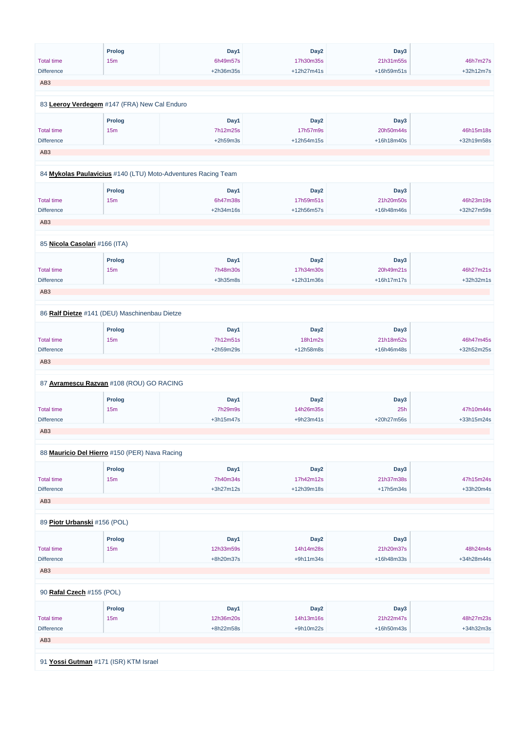| <b>Total time</b>             | Prolog<br>15m                                 | Day1<br>6h49m57s                                              | Day <sub>2</sub><br>17h30m35s | Day3<br>21h31m55s | 46h7m27s   |
|-------------------------------|-----------------------------------------------|---------------------------------------------------------------|-------------------------------|-------------------|------------|
| <b>Difference</b>             |                                               | +2h36m35s                                                     | +12h27m41s                    | +16h59m51s        | +32h12m7s  |
| AB <sub>3</sub>               |                                               |                                                               |                               |                   |            |
|                               |                                               |                                                               |                               |                   |            |
|                               | 83 Leeroy Verdegem #147 (FRA) New Cal Enduro  |                                                               |                               |                   |            |
|                               | Prolog                                        | Day1                                                          | Day <sub>2</sub>              | Day3              |            |
| <b>Total time</b>             | 15m                                           | 7h12m25s                                                      | 17h57m9s                      | 20h50m44s         | 46h15m18s  |
| <b>Difference</b>             |                                               | $+2h59m3s$                                                    | +12h54m15s                    | +16h18m40s        | +32h19m58s |
| AB <sub>3</sub>               |                                               |                                                               |                               |                   |            |
|                               |                                               |                                                               |                               |                   |            |
|                               |                                               | 84 Mykolas Paulavicius #140 (LTU) Moto-Adventures Racing Team |                               |                   |            |
|                               | <b>Prolog</b>                                 | Day1                                                          | Day <sub>2</sub>              | Day3              |            |
| <b>Total time</b>             | 15m                                           | 6h47m38s                                                      | 17h59m51s                     | 21h20m50s         | 46h23m19s  |
| <b>Difference</b>             |                                               | +2h34m16s                                                     | +12h56m57s                    | +16h48m46s        | +32h27m59s |
|                               |                                               |                                                               |                               |                   |            |
| AB <sub>3</sub>               |                                               |                                                               |                               |                   |            |
|                               |                                               |                                                               |                               |                   |            |
| 85 Nicola Casolari #166 (ITA) |                                               |                                                               |                               |                   |            |
|                               | Prolog                                        | Day1                                                          | Day <sub>2</sub>              | Day3              |            |
| <b>Total time</b>             | 15m                                           | 7h48m30s                                                      | 17h34m30s                     | 20h49m21s         | 46h27m21s  |
| <b>Difference</b>             |                                               | $+3h35m8s$                                                    | +12h31m36s                    | +16h17m17s        | +32h32m1s  |
| AB <sub>3</sub>               |                                               |                                                               |                               |                   |            |
|                               |                                               |                                                               |                               |                   |            |
|                               | 86 Ralf Dietze #141 (DEU) Maschinenbau Dietze |                                                               |                               |                   |            |
|                               | <b>Prolog</b>                                 | Day1                                                          | Day <sub>2</sub>              | Day3              |            |
| <b>Total time</b>             | 15m                                           | 7h12m51s                                                      | 18h1m2s                       | 21h18m52s         | 46h47m45s  |
| <b>Difference</b>             |                                               | +2h59m29s                                                     | +12h58m8s                     | +16h46m48s        | +32h52m25s |
|                               |                                               |                                                               |                               |                   |            |
| AB <sub>3</sub>               |                                               |                                                               |                               |                   |            |
|                               | 87 Avramescu Razvan #108 (ROU) GO RACING      |                                                               |                               |                   |            |
|                               |                                               |                                                               |                               |                   |            |
|                               | <b>Prolog</b>                                 | Day1                                                          | Day <sub>2</sub>              | Day3              |            |
| <b>Total time</b>             | 15m                                           | 7h29m9s                                                       | 14h26m35s                     | 25h               | 47h10m44s  |
| <b>Difference</b>             |                                               | $+3h15m47s$                                                   | +9h23m41s                     | +20h27m56s        | +33h15m24s |
| AB <sub>3</sub>               |                                               |                                                               |                               |                   |            |
|                               | 88 Mauricio Del Hierro #150 (PER) Nava Racing |                                                               |                               |                   |            |
|                               |                                               |                                                               |                               |                   |            |
|                               | <b>Prolog</b>                                 | Day1                                                          | Day <sub>2</sub>              | Day3              |            |
| <b>Total time</b>             | 15m                                           | 7h40m34s                                                      | 17h42m12s                     | 21h37m38s         | 47h15m24s  |
| <b>Difference</b>             |                                               | $+3h27m12s$                                                   | +12h39m18s                    | $+17h5m34s$       | +33h20m4s  |
| AB <sub>3</sub>               |                                               |                                                               |                               |                   |            |
|                               |                                               |                                                               |                               |                   |            |
| 89 Piotr Urbanski #156 (POL)  |                                               |                                                               |                               |                   |            |
|                               | <b>Prolog</b>                                 | Day1                                                          | Day <sub>2</sub>              | Day3              |            |
|                               |                                               |                                                               |                               |                   |            |

| <b>Total time</b> | 15 <sub>m</sub>                       | 12h33m59s | 14h14m28s        | 21h20m37s  | 48h24m4s   |  |  |  |  |
|-------------------|---------------------------------------|-----------|------------------|------------|------------|--|--|--|--|
| <b>Difference</b> |                                       | +8h20m37s | $+9h11m34s$      | +16h48m33s | +34h28m44s |  |  |  |  |
| AB <sub>3</sub>   |                                       |           |                  |            |            |  |  |  |  |
|                   |                                       |           |                  |            |            |  |  |  |  |
|                   | 90 Rafal Czech #155 (POL)             |           |                  |            |            |  |  |  |  |
|                   | Prolog                                | Day1      | Day <sub>2</sub> | Day3       |            |  |  |  |  |
| <b>Total time</b> | 15 <sub>m</sub>                       | 12h36m20s | 14h13m16s        | 21h22m47s  | 48h27m23s  |  |  |  |  |
| <b>Difference</b> |                                       | +8h22m58s | +9h10m22s        | +16h50m43s | +34h32m3s  |  |  |  |  |
| AB <sub>3</sub>   |                                       |           |                  |            |            |  |  |  |  |
|                   |                                       |           |                  |            |            |  |  |  |  |
|                   | 91 Yossi Gutman #171 (ISR) KTM Israel |           |                  |            |            |  |  |  |  |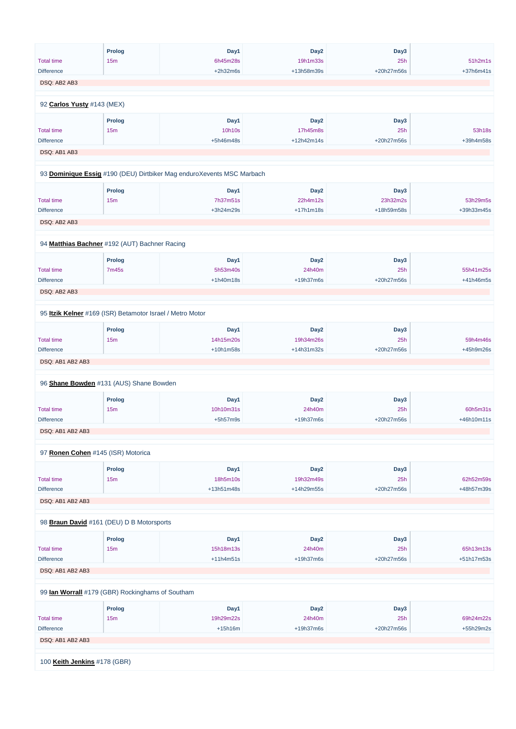|                            | <b>Prolog</b>                                             | Day1                                                                  | Day <sub>2</sub> | Day3       |            |
|----------------------------|-----------------------------------------------------------|-----------------------------------------------------------------------|------------------|------------|------------|
| <b>Total time</b>          | 15 <sub>m</sub>                                           | 6h45m28s                                                              | 19h1m33s         | 25h        | 51h2m1s    |
| <b>Difference</b>          |                                                           | $+2h32m6s$                                                            | +13h58m39s       | +20h27m56s | +37h6m41s  |
| DSQ: AB2 AB3               |                                                           |                                                                       |                  |            |            |
|                            |                                                           |                                                                       |                  |            |            |
| 92 Carlos Yusty #143 (MEX) |                                                           |                                                                       |                  |            |            |
|                            | <b>Prolog</b>                                             | Day1                                                                  | Day <sub>2</sub> | Day3       |            |
| <b>Total time</b>          | 15 <sub>m</sub>                                           | 10h10s                                                                | 17h45m8s         | 25h        | 53h18s     |
| <b>Difference</b>          |                                                           | +5h46m48s                                                             | +12h42m14s       | +20h27m56s | +39h4m58s  |
| DSQ: AB1 AB3               |                                                           |                                                                       |                  |            |            |
|                            |                                                           | 93 Dominique Essig #190 (DEU) Dirtbiker Mag enduroXevents MSC Marbach |                  |            |            |
|                            |                                                           |                                                                       |                  |            |            |
|                            | <b>Prolog</b>                                             | Day1                                                                  | Day <sub>2</sub> | Day3       |            |
| <b>Total time</b>          | 15 <sub>m</sub>                                           | 7h37m51s                                                              | 22h4m12s         | 23h32m2s   | 53h29m5s   |
| <b>Difference</b>          |                                                           | +3h24m29s                                                             | $+17h1m18s$      | +18h59m58s | +39h33m45s |
| DSQ: AB2 AB3               |                                                           |                                                                       |                  |            |            |
|                            | 94 Matthias Bachner #192 (AUT) Bachner Racing             |                                                                       |                  |            |            |
|                            | <b>Prolog</b>                                             | Day1                                                                  | Day <sub>2</sub> | Day3       |            |
| <b>Total time</b>          | 7m45s                                                     | 5h53m40s                                                              | 24h40m           | 25h        | 55h41m25s  |
| <b>Difference</b>          |                                                           | +1h40m18s                                                             | +19h37m6s        | +20h27m56s | +41h46m5s  |
| DSQ: AB2 AB3               |                                                           |                                                                       |                  |            |            |
|                            | 95 Itzik Kelner #169 (ISR) Betamotor Israel / Metro Motor |                                                                       |                  |            |            |
|                            |                                                           |                                                                       |                  |            |            |
|                            | <b>Prolog</b>                                             | Day1                                                                  | Day <sub>2</sub> | Day3       |            |
| <b>Total time</b>          | 15m                                                       | 14h15m20s                                                             | 19h34m26s        | 25h        | 59h4m46s   |
| <b>Difference</b>          |                                                           | +10h1m58s                                                             | +14h31m32s       | +20h27m56s | +45h9m26s  |
| DSQ: AB1 AB2 AB3           |                                                           |                                                                       |                  |            |            |
|                            | 96 Shane Bowden #131 (AUS) Shane Bowden                   |                                                                       |                  |            |            |
|                            | <b>Prolog</b>                                             | Day1                                                                  | Day <sub>2</sub> | Day3       |            |
| <b>Total time</b>          | 15m                                                       | 10h10m31s                                                             | 24h40m           | 25h        | 60h5m31s   |
| <b>Difference</b>          |                                                           | $+5h57m9s$                                                            | +19h37m6s        | +20h27m56s | +46h10m11s |
| DSQ: AB1 AB2 AB3           |                                                           |                                                                       |                  |            |            |
|                            | 97 Ronen Cohen #145 (ISR) Motorica                        |                                                                       |                  |            |            |
|                            | <b>Prolog</b>                                             | Day1                                                                  | Day <sub>2</sub> | Day3       |            |
| <b>Total time</b>          | 15m                                                       | 18h5m10s                                                              | 19h32m49s        | 25h        | 62h52m59s  |
| <b>Difference</b>          |                                                           | +13h51m48s                                                            | +14h29m55s       | +20h27m56s | +48h57m39s |
| DSQ: AB1 AB2 AB3           |                                                           |                                                                       |                  |            |            |
|                            |                                                           |                                                                       |                  |            |            |
|                            | 98 Braun David #161 (DEU) D B Motorsports                 |                                                                       |                  |            |            |
|                            | <b>Prolog</b>                                             | Day1                                                                  | Day <sub>2</sub> | Day3       |            |
| <b>Total time</b>          | 15 <sub>m</sub>                                           | 15h18m13s                                                             | 24h40m           | 25h        | 65h13m13s  |

| <b>Total time</b>                                | 15m    | 15h18m13s   | 24h40m           | 25h        | 65h13m13s  |  |  |  |
|--------------------------------------------------|--------|-------------|------------------|------------|------------|--|--|--|
| <b>Difference</b>                                |        | $+11h4m51s$ | $+19h37m6s$      | +20h27m56s | +51h17m53s |  |  |  |
| DSQ: AB1 AB2 AB3                                 |        |             |                  |            |            |  |  |  |
| 99 lan Worrall #179 (GBR) Rockinghams of Southam |        |             |                  |            |            |  |  |  |
|                                                  | Prolog | Day1        | Day <sub>2</sub> | Day3       |            |  |  |  |
| <b>Total time</b>                                | 15m    | 19h29m22s   | 24h40m           | 25h        | 69h24m22s  |  |  |  |
| <b>Difference</b>                                |        | $+15h16m$   | $+19h37m6s$      | +20h27m56s | +55h29m2s  |  |  |  |
| DSQ: AB1 AB2 AB3                                 |        |             |                  |            |            |  |  |  |
|                                                  |        |             |                  |            |            |  |  |  |
| 100 Keith Jenkins #178 (GBR)                     |        |             |                  |            |            |  |  |  |